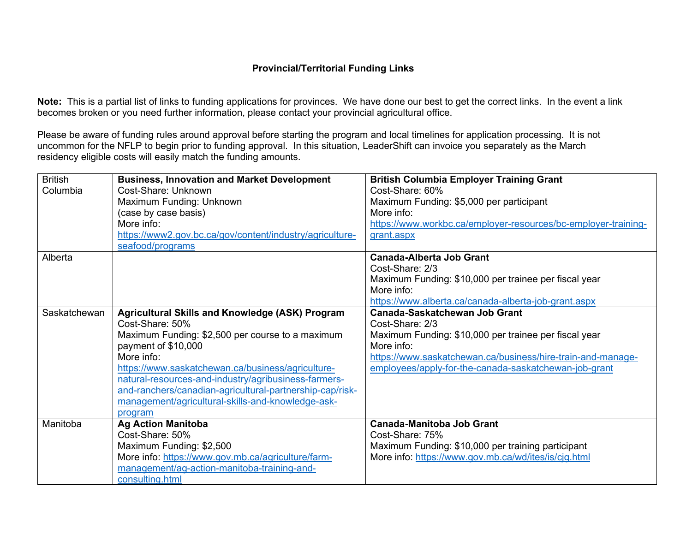## **Provincial/Territorial Funding Links**

**Note:** This is a partial list of links to funding applications for provinces. We have done our best to get the correct links. In the event a link becomes broken or you need further information, please contact your provincial agricultural office.

Please be aware of funding rules around approval before starting the program and local timelines for application processing. It is not uncommon for the NFLP to begin prior to funding approval. In this situation, LeaderShift can invoice you separately as the March residency eligible costs will easily match the funding amounts.

| <b>British</b> | <b>Business, Innovation and Market Development</b>       | <b>British Columbia Employer Training Grant</b>                |
|----------------|----------------------------------------------------------|----------------------------------------------------------------|
| Columbia       | Cost-Share: Unknown                                      | Cost-Share: 60%                                                |
|                | Maximum Funding: Unknown                                 | Maximum Funding: \$5,000 per participant                       |
|                | (case by case basis)                                     | More info:                                                     |
|                | More info:                                               | https://www.workbc.ca/employer-resources/bc-employer-training- |
|                | https://www2.gov.bc.ca/gov/content/industry/agriculture- | grant.aspx                                                     |
|                | seafood/programs                                         |                                                                |
| Alberta        |                                                          | <b>Canada-Alberta Job Grant</b>                                |
|                |                                                          | Cost-Share: 2/3                                                |
|                |                                                          | Maximum Funding: \$10,000 per trainee per fiscal year          |
|                |                                                          | More info:                                                     |
|                |                                                          | https://www.alberta.ca/canada-alberta-job-grant.aspx           |
| Saskatchewan   | <b>Agricultural Skills and Knowledge (ASK) Program</b>   | <b>Canada-Saskatchewan Job Grant</b>                           |
|                | Cost-Share: 50%                                          | Cost-Share: 2/3                                                |
|                | Maximum Funding: \$2,500 per course to a maximum         | Maximum Funding: \$10,000 per trainee per fiscal year          |
|                | payment of \$10,000                                      | More info:                                                     |
|                | More info:                                               | https://www.saskatchewan.ca/business/hire-train-and-manage-    |
|                | https://www.saskatchewan.ca/business/agriculture-        | employees/apply-for-the-canada-saskatchewan-job-grant          |
|                | natural-resources-and-industry/agribusiness-farmers-     |                                                                |
|                | and-ranchers/canadian-agricultural-partnership-cap/risk- |                                                                |
|                | management/agricultural-skills-and-knowledge-ask-        |                                                                |
|                | program                                                  |                                                                |
| Manitoba       | <b>Ag Action Manitoba</b>                                | <b>Canada-Manitoba Job Grant</b>                               |
|                | Cost-Share: 50%                                          | Cost-Share: 75%                                                |
|                | Maximum Funding: \$2,500                                 | Maximum Funding: \$10,000 per training participant             |
|                | More info: https://www.gov.mb.ca/agriculture/farm-       | More info: https://www.gov.mb.ca/wd/ites/is/cjg.html           |
|                | management/ag-action-manitoba-training-and-              |                                                                |
|                | consulting.html                                          |                                                                |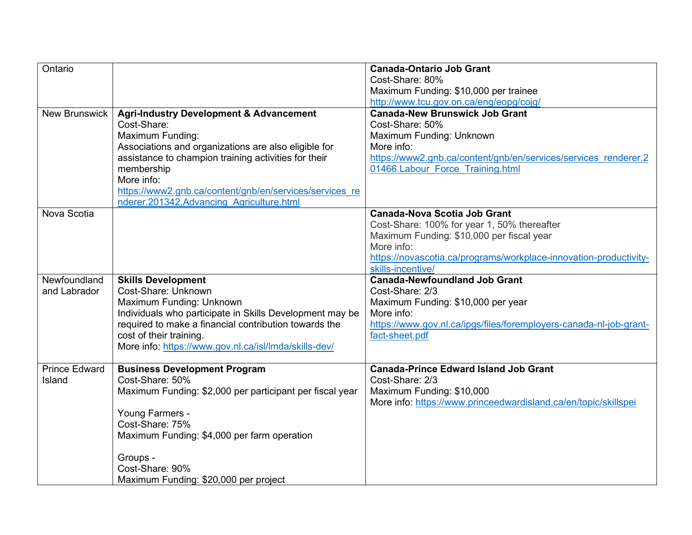| Ontario              |                                                          | <b>Canada-Ontario Job Grant</b>                                    |
|----------------------|----------------------------------------------------------|--------------------------------------------------------------------|
|                      |                                                          | Cost-Share: 80%                                                    |
|                      |                                                          | Maximum Funding: \$10,000 per trainee                              |
|                      |                                                          | http://www.tcu.gov.on.ca/eng/eopg/cojg/                            |
| <b>New Brunswick</b> | <b>Agri-Industry Development &amp; Advancement</b>       | <b>Canada-New Brunswick Job Grant</b>                              |
|                      | Cost-Share:                                              | Cost-Share: 50%                                                    |
|                      | <b>Maximum Funding:</b>                                  | Maximum Funding: Unknown                                           |
|                      | Associations and organizations are also eligible for     | More info:                                                         |
|                      | assistance to champion training activities for their     | https://www2.gnb.ca/content/gnb/en/services/services renderer.2    |
|                      | membership                                               | 01466.Labour Force Training.html                                   |
|                      | More info:                                               |                                                                    |
|                      | https://www2.gnb.ca/content/gnb/en/services/services re  |                                                                    |
|                      | nderer.201342.Advancing Agriculture.html                 |                                                                    |
| Nova Scotia          |                                                          | <b>Canada-Nova Scotia Job Grant</b>                                |
|                      |                                                          | Cost-Share: 100% for year 1, 50% thereafter                        |
|                      |                                                          | Maximum Funding: \$10,000 per fiscal year                          |
|                      |                                                          | More info:                                                         |
|                      |                                                          | https://novascotia.ca/programs/workplace-innovation-productivity-  |
|                      |                                                          | skills-incentive/                                                  |
| Newfoundland         | <b>Skills Development</b>                                | <b>Canada-Newfoundland Job Grant</b>                               |
| and Labrador         | Cost-Share: Unknown                                      | Cost-Share: 2/3                                                    |
|                      | Maximum Funding: Unknown                                 | Maximum Funding: \$10,000 per year                                 |
|                      | Individuals who participate in Skills Development may be | More info:                                                         |
|                      | required to make a financial contribution towards the    | https://www.gov.nl.ca/ipgs/files/foremployers-canada-nl-job-grant- |
|                      | cost of their training.                                  | fact-sheet.pdf                                                     |
|                      | More info: https://www.gov.nl.ca/isl/lmda/skills-dev/    |                                                                    |
|                      |                                                          |                                                                    |
| <b>Prince Edward</b> | <b>Business Development Program</b>                      | <b>Canada-Prince Edward Island Job Grant</b>                       |
| Island               | Cost-Share: 50%                                          | Cost-Share: 2/3                                                    |
|                      | Maximum Funding: \$2,000 per participant per fiscal year | Maximum Funding: \$10,000                                          |
|                      |                                                          | More info: https://www.princeedwardisland.ca/en/topic/skillspei    |
|                      | Young Farmers -<br>Cost-Share: 75%                       |                                                                    |
|                      | Maximum Funding: \$4,000 per farm operation              |                                                                    |
|                      |                                                          |                                                                    |
|                      |                                                          |                                                                    |
|                      |                                                          |                                                                    |
|                      | Groups -                                                 |                                                                    |
|                      | Cost-Share: 90%<br>Maximum Funding: \$20,000 per project |                                                                    |